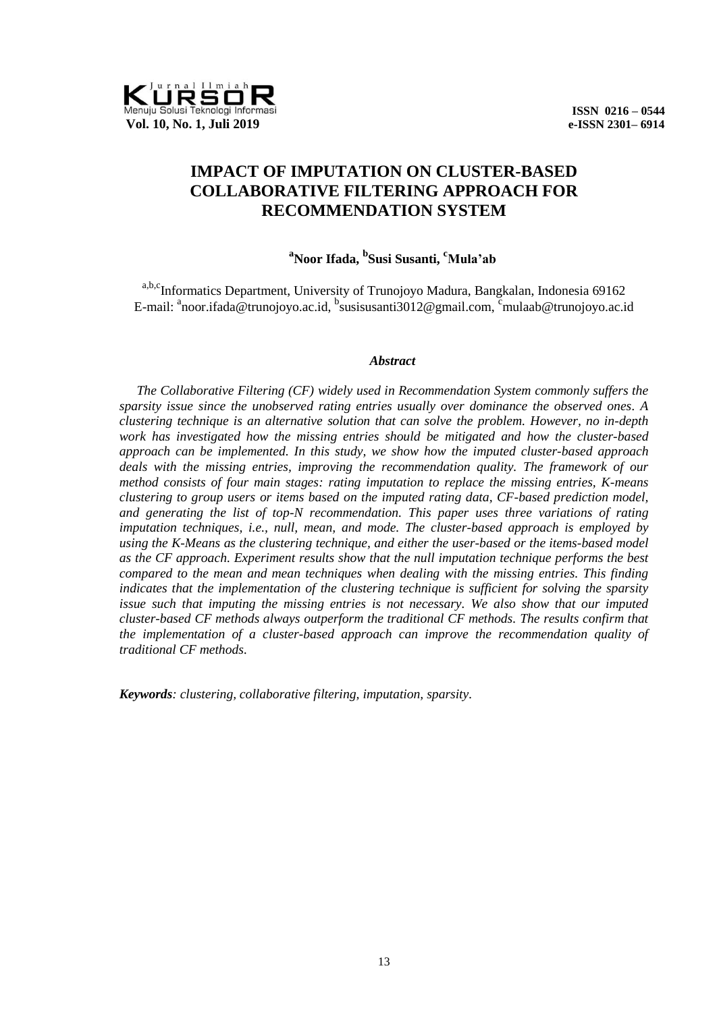

# **IMPACT OF IMPUTATION ON CLUSTER-BASED COLLABORATIVE FILTERING APPROACH FOR RECOMMENDATION SYSTEM**

## **<sup>a</sup>Noor Ifada, <sup>b</sup> Susi Susanti, cMula'ab**

a,b,c<sub>Informatics</sub> Department, University of Trunojoyo Madura, Bangkalan, Indonesia 69162 E-mail: <sup>a</sup>noor.ifada@trunojoyo.ac.id, <sup>b</sup>susisusanti3012@gmail.com, <sup>c</sup>mulaab@trunojoyo.ac.id

#### *Abstract*

*The Collaborative Filtering (CF) widely used in Recommendation System commonly suffers the sparsity issue since the unobserved rating entries usually over dominance the observed ones. A clustering technique is an alternative solution that can solve the problem. However, no in-depth work has investigated how the missing entries should be mitigated and how the cluster-based approach can be implemented. In this study, we show how the imputed cluster-based approach deals with the missing entries, improving the recommendation quality. The framework of our method consists of four main stages: rating imputation to replace the missing entries, K-means clustering to group users or items based on the imputed rating data, CF-based prediction model, and generating the list of top-N recommendation. This paper uses three variations of rating imputation techniques, i.e., null, mean, and mode. The cluster-based approach is employed by using the K-Means as the clustering technique, and either the user-based or the items-based model as the CF approach. Experiment results show that the null imputation technique performs the best compared to the mean and mean techniques when dealing with the missing entries. This finding indicates that the implementation of the clustering technique is sufficient for solving the sparsity issue such that imputing the missing entries is not necessary. We also show that our imputed cluster-based CF methods always outperform the traditional CF methods. The results confirm that the implementation of a cluster-based approach can improve the recommendation quality of traditional CF methods.*

*Keywords: clustering, collaborative filtering, imputation, sparsity.*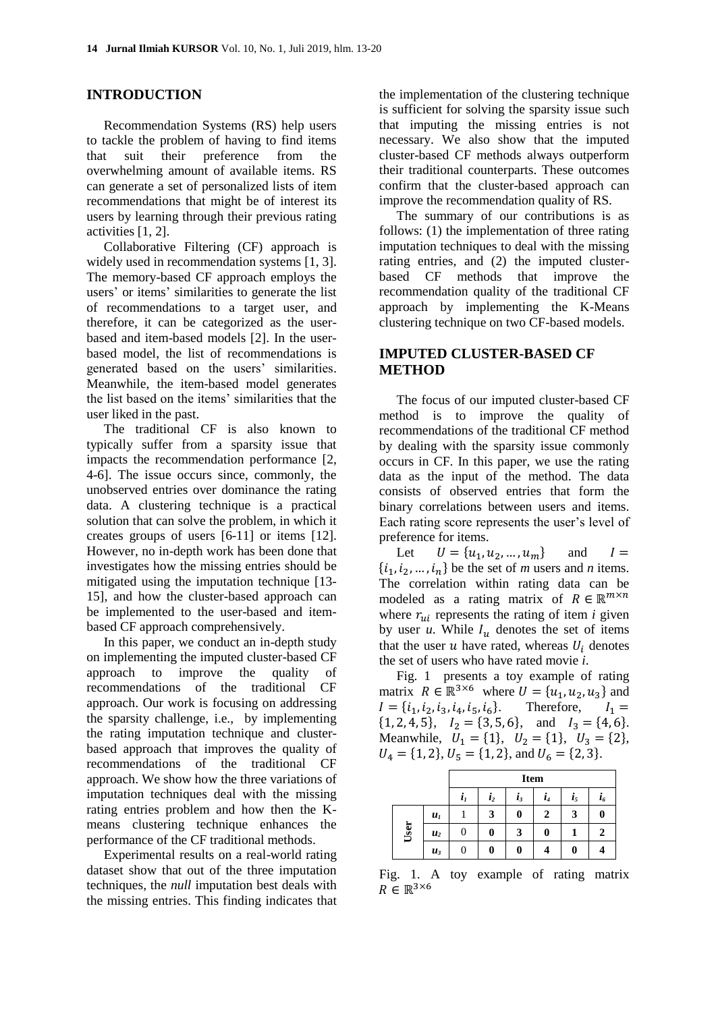#### **INTRODUCTION**

Recommendation Systems (RS) help users to tackle the problem of having to find items that suit their preference from the overwhelming amount of available items. RS can generate a set of personalized lists of item recommendations that might be of interest its users by learning through their previous rating activities [1, [2\]](#page-7-0).

Collaborative Filtering (CF) approach is widely used in recommendation systems [1, [3\]](#page-7-1). The memory-based CF approach employs the users' or items' similarities to generate the list of recommendations to a target user, and therefore, it can be categorized as the userbased and item-based models [\[2\]](#page-7-0). In the userbased model, the list of recommendations is generated based on the users' similarities. Meanwhile, the item-based model generates the list based on the items' similarities that the user liked in the past.

The traditional CF is also known to typically suffer from a sparsity issue that impacts the recommendation performance [\[2,](#page-7-0) [4-6\]](#page-7-2). The issue occurs since, commonly, the unobserved entries over dominance the rating data. A clustering technique is a practical solution that can solve the problem, in which it creates groups of users [\[6-11\]](#page-7-3) or items [\[12\]](#page-7-4). However, no in-depth work has been done that investigates how the missing entries should be mitigated using the imputation technique [\[13-](#page-7-5) [15\]](#page-7-5), and how the cluster-based approach can be implemented to the user-based and itembased CF approach comprehensively.

In this paper, we conduct an in-depth study on implementing the imputed cluster-based CF approach to improve the quality of recommendations of the traditional CF approach. Our work is focusing on addressing the sparsity challenge, i.e., by implementing the rating imputation technique and clusterbased approach that improves the quality of recommendations of the traditional CF approach. We show how the three variations of imputation techniques deal with the missing rating entries problem and how then the Kmeans clustering technique enhances the performance of the CF traditional methods.

Experimental results on a real-world rating dataset show that out of the three imputation techniques, the *null* imputation best deals with the missing entries. This finding indicates that

the implementation of the clustering technique is sufficient for solving the sparsity issue such that imputing the missing entries is not necessary. We also show that the imputed cluster-based CF methods always outperform their traditional counterparts. These outcomes confirm that the cluster-based approach can improve the recommendation quality of RS.

The summary of our contributions is as follows: (1) the implementation of three rating imputation techniques to deal with the missing rating entries, and (2) the imputed clusterbased CF methods that improve the recommendation quality of the traditional CF approach by implementing the K-Means clustering technique on two CF-based models.

## **IMPUTED CLUSTER-BASED CF METHOD**

The focus of our imputed cluster-based CF method is to improve the quality of recommendations of the traditional CF method by dealing with the sparsity issue commonly occurs in CF. In this paper, we use the rating data as the input of the method. The data consists of observed entries that form the binary correlations between users and items. Each rating score represents the user's level of preference for items.

Let  $U = {u_1, u_2, ..., u_m}$  and  $I =$  $\{i_1, i_2, \ldots, i_n\}$  be the set of *m* users and *n* items. The correlation within rating data can be modeled as a rating matrix of  $R \in \mathbb{R}^{m \times n}$ where  $r_{ui}$  represents the rating of item  $i$  given by user  $u$ . While  $I_u$  denotes the set of items that the user  $u$  have rated, whereas  $U_i$  denotes the set of users who have rated movie *i*.

[Fig.](#page-1-0) 1 presents a toy example of rating matrix  $R \in \mathbb{R}^{3 \times 6}$  where  $U = \{u_1, u_2, u_3\}$  and  $I = \{i_1, i_2, i_3, i_4, i_5, i_6\}.$ Therefore,  $I_1 =$  $\{1, 2, 4, 5\}, \quad I_2 = \{3, 5, 6\}, \quad \text{and} \quad I_3 = \{4, 6\}.$ Meanwhile,  $U_1 = \{1\}$ ,  $U_2 = \{1\}$ ,  $U_3 = \{2\}$ ,  $U_4 = \{1, 2\}, U_5 = \{1, 2\}, \text{ and } U_6 = \{2, 3\}.$ 

|      |                | <b>Item</b> |                    |       |    |                |              |
|------|----------------|-------------|--------------------|-------|----|----------------|--------------|
|      |                | $i_{I}$     | $\boldsymbol{i}_2$ | $i_3$ | i, | i <sub>5</sub> | $i_{\delta}$ |
| User | $u_{I}$        |             |                    | 0     | 2  | 3              |              |
|      | u <sub>2</sub> | U           | 0                  | 3     | 0  |                |              |
|      | $u_3$          | O           | 0                  | 0     |    | 0              |              |

<span id="page-1-0"></span>Fig. 1. A toy example of rating matrix  $R \in \mathbb{R}^{3 \times 6}$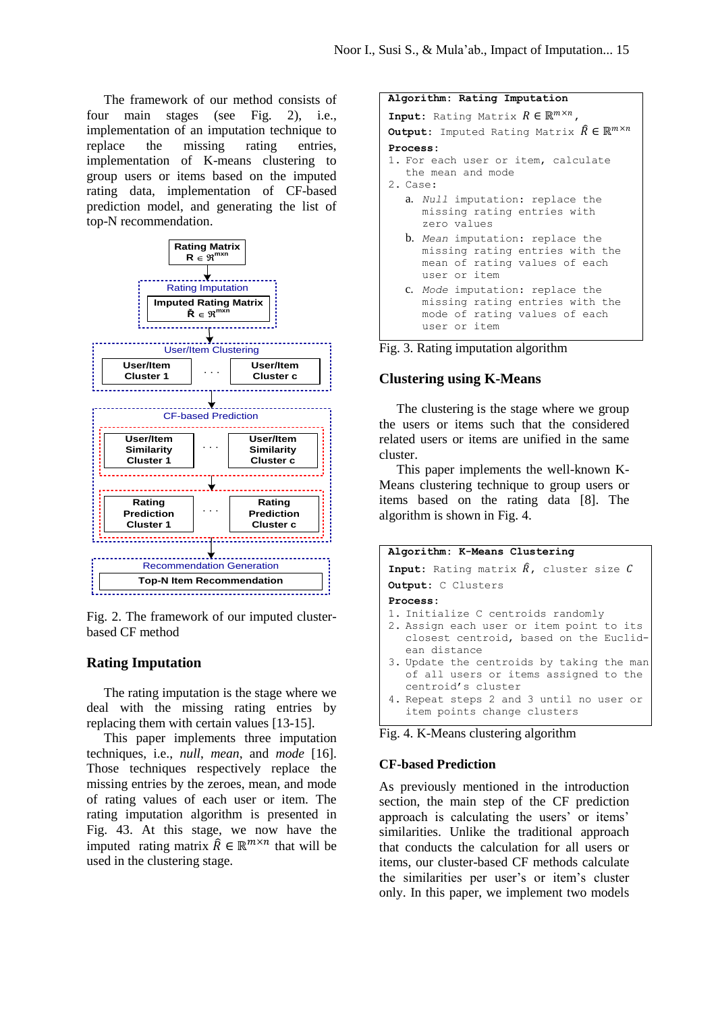The framework of our method consists of four main stages (see [Fig. 2\)](#page-2-0), i.e., implementation of an imputation technique to replace the missing rating entries, implementation of K-means clustering to group users or items based on the imputed rating data, implementation of CF-based prediction model, and generating the list of top-N recommendation.



<span id="page-2-0"></span>Fig. 2. The framework of our imputed clusterbased CF method

#### **Rating Imputation**

The rating imputation is the stage where we deal with the missing rating entries by replacing them with certain values [\[13-15\]](#page-7-5).

This paper implements three imputation techniques, i.e., *null*, *mean*, and *mode* [\[16\]](#page-7-6). Those techniques respectively replace the missing entries by the zeroes, mean, and mode of rating values of each user or item. The rating imputation algorithm is presented in [Fig.](#page-2-1) 43. At this stage, we now have the imputed rating matrix  $\hat{R} \in \mathbb{R}^{m \times n}$  that will be used in the clustering stage.

| Algorithm: Rating Imputation                                                   |  |  |  |  |  |
|--------------------------------------------------------------------------------|--|--|--|--|--|
| <b>Input:</b> Rating Matrix $R \in \mathbb{R}^{m \times n}$ ,                  |  |  |  |  |  |
| <b>Output:</b> Imputed Rating Matrix $\widehat{R} \in \mathbb{R}^{m \times n}$ |  |  |  |  |  |
| Process:                                                                       |  |  |  |  |  |
| 1. For each user or item, calculate                                            |  |  |  |  |  |
| the mean and mode                                                              |  |  |  |  |  |
| 2. Case:                                                                       |  |  |  |  |  |
| a. Null imputation: replace the                                                |  |  |  |  |  |
| missing rating entries with                                                    |  |  |  |  |  |
| zero values                                                                    |  |  |  |  |  |
| <b>b.</b> Mean imputation: replace the                                         |  |  |  |  |  |
| missing rating entries with the                                                |  |  |  |  |  |
| mean of rating values of each                                                  |  |  |  |  |  |
| user or item                                                                   |  |  |  |  |  |
| c. Mode imputation: replace the                                                |  |  |  |  |  |
| missing rating entries with the                                                |  |  |  |  |  |
| mode of rating values of each                                                  |  |  |  |  |  |
| user or item                                                                   |  |  |  |  |  |

Fig. 3. Rating imputation algorithm

#### **Clustering using K-Means**

The clustering is the stage where we group the users or items such that the considered related users or items are unified in the same cluster.

This paper implements the well-known K-Means clustering technique to group users or items based on the rating data [\[8\]](#page-7-7). The algorithm is shown i[n Fig.](#page-2-1) 4.

| Algorithm: K-Means Clustering                                                                            |
|----------------------------------------------------------------------------------------------------------|
| <b>Input:</b> Rating matrix $\hat{R}$ , cluster size $C$                                                 |
| <b>Output:</b> C Clusters                                                                                |
| Process:                                                                                                 |
| 1. Initialize C centroids randomly                                                                       |
| 2. Assign each user or item point to its<br>closest centroid, based on the Euclid-<br>ean distance       |
| 3. Update the centroids by taking the man<br>of all users or items assigned to the<br>centroid's cluster |
| 4. Repeat steps 2 and 3 until no user or<br>item points change clusters                                  |

<span id="page-2-1"></span>Fig. 4. K-Means clustering algorithm

#### **CF-based Prediction**

As previously mentioned in the introduction section, the main step of the CF prediction approach is calculating the users' or items' similarities. Unlike the traditional approach that conducts the calculation for all users or items, our cluster-based CF methods calculate the similarities per user's or item's cluster only. In this paper, we implement two models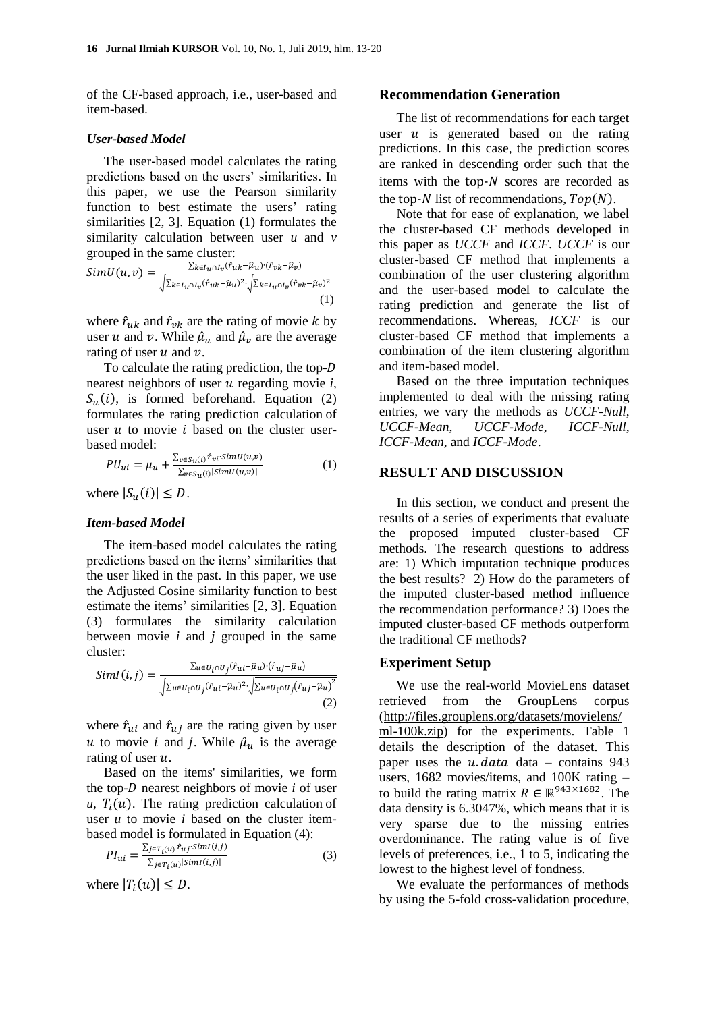of the CF-based approach, i.e., user-based and item-based.

#### *User-based Model*

The user-based model calculates the rating predictions based on the users' similarities. In this paper, we use the Pearson similarity function to best estimate the users' rating similarities [\[2,](#page-7-0) [3\]](#page-7-1). Equation (1) formulates the similarity calculation between user *u* and *v* grouped in the same cluster:

$$
SimU(u,v) = \frac{\sum_{k \in I_u \cap I_v} (\hat{r}_{uk} - \hat{\mu}_u) \cdot (\hat{r}_{vk} - \hat{\mu}_v)}{\sqrt{\sum_{k \in I_u \cap I_v} (\hat{r}_{uk} - \hat{\mu}_u)^2} \cdot \sqrt{\sum_{k \in I_u \cap I_v} (\hat{r}_{vk} - \hat{\mu}_v)^2}}(1)
$$

where  $\hat{r}_{uk}$  and  $\hat{r}_{vk}$  are the rating of movie k by user u and v. While  $\hat{\mu}_u$  and  $\hat{\mu}_v$  are the average rating of user  $u$  and  $v$ .

To calculate the rating prediction, the topnearest neighbors of user  $u$  regarding movie  $i$ ,  $S_u(i)$ , is formed beforehand. Equation (2) formulates the rating prediction calculation of user  $u$  to movie  $i$  based on the cluster userbased model:

$$
PU_{ui} = \mu_u + \frac{\sum_{v \in S_u(i)} \hat{r}_{vi} \cdot SimU(u, v)}{\sum_{v \in S_u(i)} |SimU(u, v)|}
$$
(1)

where  $|S_u(i)| \leq D$ .

#### *Item-based Model*

The item-based model calculates the rating predictions based on the items' similarities that the user liked in the past. In this paper, we use the Adjusted Cosine similarity function to best estimate the items' similarities [\[2,](#page-7-0) [3\]](#page-7-1). Equation (3) formulates the similarity calculation between movie *i* and *j* grouped in the same cluster:

$$
SimI(i, j) = \frac{\sum_{u \in U_i \cap U_j} (\hat{r}_{ui} - \hat{\mu}_u) \cdot (\hat{r}_{uj} - \hat{\mu}_u)}{\sqrt{\sum_{u \in U_i \cap U_j} (\hat{r}_{ui} - \hat{\mu}_u)^2} \cdot \sqrt{\sum_{u \in U_i \cap U_j} (\hat{r}_{uj} - \hat{\mu}_u)^2}} (2)
$$

where  $\hat{r}_{ui}$  and  $\hat{r}_{ui}$  are the rating given by user u to movie i and j. While  $\hat{\mu}_u$  is the average rating of user  $u$ .

Based on the items' similarities, we form the top- $D$  nearest neighbors of movie  $i$  of user  $u, T_i(u)$ . The rating prediction calculation of user *u* to movie *i* based on the cluster itembased model is formulated in Equation (4):

$$
PI_{ui} = \frac{\sum_{j \in T_i(u)} \hat{r}_{uj} \cdot SimI(i,j)}{\sum_{j \in T_i(u)} |SimI(i,j)|}
$$
(3)

where  $|T_i(u)| \leq D$ .

#### **Recommendation Generation**

The list of recommendations for each target user  $u$  is generated based on the rating predictions. In this case, the prediction scores are ranked in descending order such that the items with the top- $N$  scores are recorded as the top-N list of recommendations,  $Top(N)$ .

Note that for ease of explanation, we label the cluster-based CF methods developed in this paper as *UCCF* and *ICCF*. *UCCF* is our cluster-based CF method that implements a combination of the user clustering algorithm and the user-based model to calculate the rating prediction and generate the list of recommendations. Whereas, *ICCF* is our cluster-based CF method that implements a combination of the item clustering algorithm and item-based model.

Based on the three imputation techniques implemented to deal with the missing rating entries, we vary the methods as *UCCF-Null*, *UCCF-Mean*, *UCCF-Mode*, *ICCF-Null*, *ICCF-Mean*, and *ICCF-Mode*.

#### **RESULT AND DISCUSSION**

In this section, we conduct and present the results of a series of experiments that evaluate the proposed imputed cluster-based CF methods. The research questions to address are: 1) Which imputation technique produces the best results? 2) How do the parameters of the imputed cluster-based method influence the recommendation performance? 3) Does the imputed cluster-based CF methods outperform the traditional CF methods?

#### **Experiment Setup**

We use the real-world MovieLens dataset retrieved from the GroupLens corpus (http://files.grouplens.org/datasets/movielens/ ml-100k.zip) for the experiments. [Table 1](#page-4-0) details the description of the dataset. This paper uses the  $u$  data data – contains 943 users, 1682 movies/items, and 100K rating – to build the rating matrix  $R \in \mathbb{R}^{943 \times 1682}$ . The data density is 6.3047%, which means that it is very sparse due to the missing entries overdominance. The rating value is of five levels of preferences, i.e., 1 to 5, indicating the lowest to the highest level of fondness.

We evaluate the performances of methods by using the 5-fold cross-validation procedure,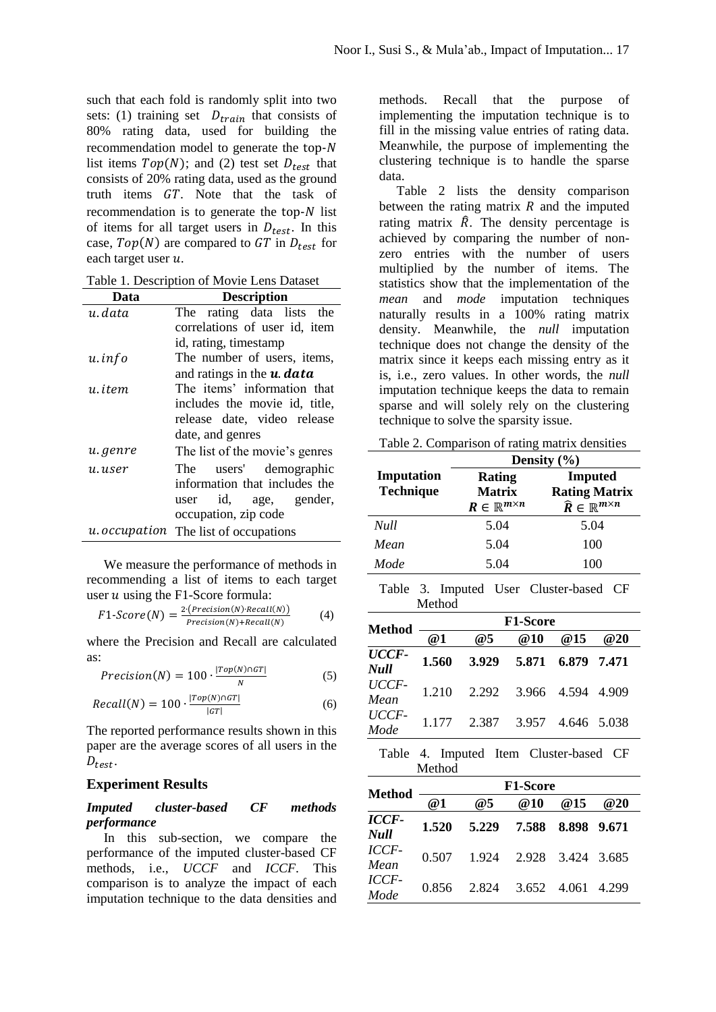such that each fold is randomly split into two sets: (1) training set  $D_{train}$  that consists of 80% rating data, used for building the recommendation model to generate the  $top-N$ list items  $Top(N)$ ; and (2) test set  $D_{test}$  that consists of 20% rating data, used as the ground truth items  $GT$ . Note that the task of recommendation is to generate the  $top-N$  list of items for all target users in  $D_{test}$ . In this case,  $Top(N)$  are compared to GT in  $D_{test}$  for each target user  $u$ .

<span id="page-4-0"></span>

| Data       | <b>Description</b>                        |  |  |  |  |  |
|------------|-------------------------------------------|--|--|--|--|--|
| u. data    | The rating data lists the                 |  |  |  |  |  |
|            | correlations of user id, item             |  |  |  |  |  |
|            | id, rating, timestamp                     |  |  |  |  |  |
| $u$ . info | The number of users, items,               |  |  |  |  |  |
|            | and ratings in the <b>u</b> . <b>data</b> |  |  |  |  |  |
| u. item    | The items' information that               |  |  |  |  |  |
|            | includes the movie id, title,             |  |  |  |  |  |
|            | release date, video release               |  |  |  |  |  |
|            | date, and genres                          |  |  |  |  |  |
| u.genre    | The list of the movie's genres            |  |  |  |  |  |
| u.user     | users' demographic<br>The                 |  |  |  |  |  |
|            | information that includes the             |  |  |  |  |  |
|            | user id, age, gender,                     |  |  |  |  |  |
|            | occupation, zip code                      |  |  |  |  |  |
|            | u. occupation The list of occupations     |  |  |  |  |  |

We measure the performance of methods in recommending a list of items to each target user  $u$  using the F1-Score formula:

$$
F1\text{-}Score(N) = \frac{2 \cdot (Precision(N) \cdot Recall(N))}{Precision(N) + Recall(N)} \tag{4}
$$

where the Precision and Recall are calculated as:

$$
Precision(N) = 100 \cdot \frac{|Top(N) \cap GT|}{N}
$$
 (5)

$$
Recall(N) = 100 \cdot \frac{|Top(N) \cap GT|}{|GT|}
$$
 (6)

The reported performance results shown in this paper are the average scores of all users in the  $D_{test}$ .

#### **Experiment Results**

#### *Imputed cluster-based CF methods performance*

In this sub-section, we compare the performance of the imputed cluster-based CF methods, i.e., *UCCF* and *ICCF*. This comparison is to analyze the impact of each imputation technique to the data densities and

methods. Recall that the purpose of implementing the imputation technique is to fill in the missing value entries of rating data. Meanwhile, the purpose of implementing the clustering technique is to handle the sparse data.

[Table 2](#page-4-1) lists the density comparison between the rating matrix  $R$  and the imputed rating matrix  $\hat{R}$ . The density percentage is achieved by comparing the number of nonzero entries with the number of users multiplied by the number of items. The statistics show that the implementation of the *mean* and *mode* imputation techniques naturally results in a 100% rating matrix density. Meanwhile, the *null* imputation technique does not change the density of the matrix since it keeps each missing entry as it is, i.e., zero values. In other words, the *null* imputation technique keeps the data to remain sparse and will solely rely on the clustering technique to solve the sparsity issue.

<span id="page-4-1"></span>Table 2. Comparison of rating matrix densities

|                                | Density $(\% )$                                            |                                                                                     |  |  |
|--------------------------------|------------------------------------------------------------|-------------------------------------------------------------------------------------|--|--|
| Imputation<br><b>Technique</b> | Rating<br><b>Matrix</b><br>$R \in \mathbb{R}^{m \times n}$ | <b>Imputed</b><br><b>Rating Matrix</b><br>$\widehat{R} \in \mathbb{R}^{m \times n}$ |  |  |
| <b>Null</b>                    | 5.04                                                       | 5.04                                                                                |  |  |
| Mean                           | 5.04                                                       | 100                                                                                 |  |  |
| Mode                           | 5.04                                                       | 100                                                                                 |  |  |

<span id="page-4-2"></span>Table 3. Imputed User Cluster-based CF Method

| Method        | <b>F1-Score</b> |                               |                         |     |     |  |
|---------------|-----------------|-------------------------------|-------------------------|-----|-----|--|
|               | @1              | @5                            | @10                     | @15 | @20 |  |
| UCCF-<br>Null | 1.560           |                               | 3.929 5.871 6.879 7.471 |     |     |  |
| UCCF-<br>Mean |                 | 1.210 2.292 3.966 4.594 4.909 |                         |     |     |  |
| UCCF-<br>Mode |                 | 1.177 2.387 3.957 4.646 5.038 |                         |     |     |  |

<span id="page-4-3"></span>Table 4. Imputed Item Cluster-based CF Method

| <b>Method</b> | <b>F1-Score</b> |                               |     |             |       |  |
|---------------|-----------------|-------------------------------|-----|-------------|-------|--|
|               | @1              | @5                            | @10 | @15         | @20   |  |
| ICCF-<br>Null | 1.520           | 5.229 7.588                   |     | 8.898 9.671 |       |  |
| ICCF-<br>Mean |                 | 0.507 1.924 2.928 3.424 3.685 |     |             |       |  |
| ICCF-<br>Mode |                 | 0.856 2.824 3.652 4.061       |     |             | 4.299 |  |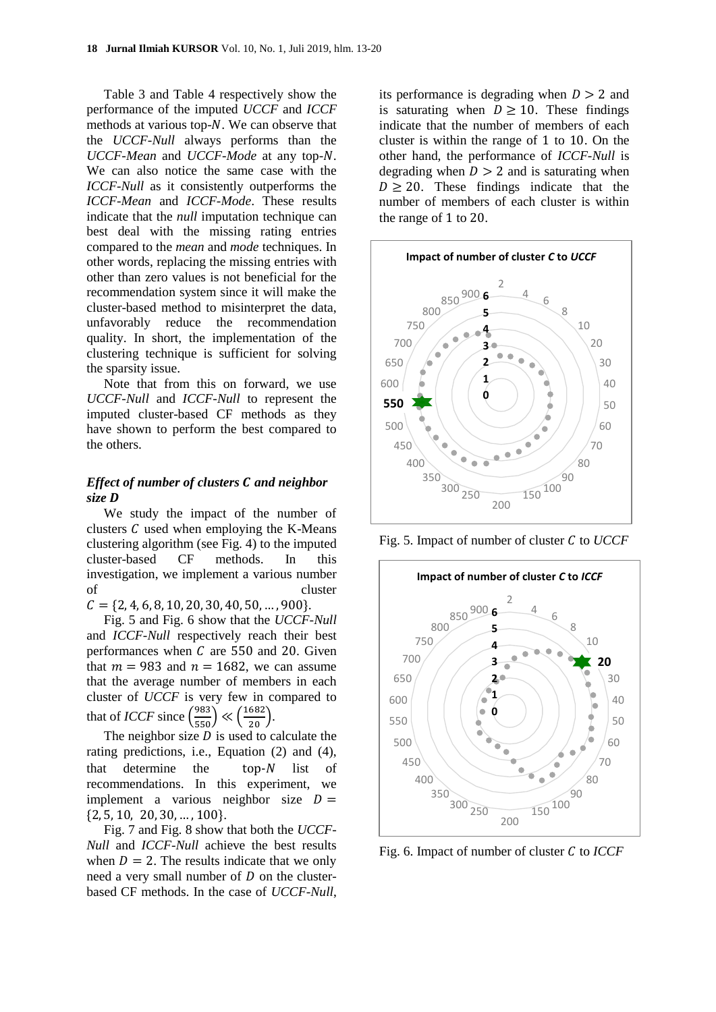[Table 3](#page-4-2) and [Table 4](#page-4-3) respectively show the performance of the imputed *UCCF* and *ICCF* methods at various top- $N$ . We can observe that the *UCCF-Null* always performs than the *UCCF-Mean* and *UCCF-Mode* at any top-N. We can also notice the same case with the *ICCF-Null* as it consistently outperforms the *ICCF-Mean* and *ICCF-Mode*. These results indicate that the *null* imputation technique can best deal with the missing rating entries compared to the *mean* and *mode* techniques. In other words, replacing the missing entries with other than zero values is not beneficial for the recommendation system since it will make the cluster-based method to misinterpret the data, unfavorably reduce the recommendation quality. In short, the implementation of the clustering technique is sufficient for solving the sparsity issue.

Note that from this on forward, we use *UCCF-Null* and *ICCF-Null* to represent the imputed cluster-based CF methods as they have shown to perform the best compared to the others.

## *Effect of number of clusters C and neighbor size*

We study the impact of the number of clusters  $C$  used when employing the K-Means clustering algorithm (see [Fig.](#page-2-1) 4) to the imputed cluster-based CF methods. In this investigation, we implement a various number of cluster  $C = \{2, 4, 6, 8, 10, 20, 30, 40, 50, \dots, 900\}.$ 

[Fig.](#page-5-0) 5 and [Fig.](#page-5-1) 6 show that the *UCCF-Null* and *ICCF-Null* respectively reach their best performances when  $C$  are 550 and 20. Given that  $m = 983$  and  $n = 1682$ , we can assume that the average number of members in each cluster of *UCCF* is very few in compared to that of *ICCF* since  $\left(\frac{983}{550}\right) \ll \left(\frac{1682}{20}\right)$ .

The neighbor size  $D$  is used to calculate the rating predictions, i.e., Equation (2) and (4), that determine the  $top-N$  list of recommendations. In this experiment, we implement a various neighbor size  $D =$  $\{2, 5, 10, 20, 30, \ldots, 100\}.$ 

[Fig.](#page-6-0) 7 and [Fig. 8](#page-6-1) show that both the *UCCF-Null* and *ICCF-Null* achieve the best results when  $D = 2$ . The results indicate that we only need a very small number of  $D$  on the clusterbased CF methods. In the case of *UCCF-Null*,

its performance is degrading when  $D > 2$  and is saturating when  $D \ge 10$ . These findings indicate that the number of members of each cluster is within the range of  $1$  to  $10$ . On the other hand, the performance of *ICCF-Null* is degrading when  $D > 2$  and is saturating when  $D \geq 20$ . These findings indicate that the number of members of each cluster is within the range of  $1$  to  $20$ .



<span id="page-5-0"></span>Fig. 5. Impact of number of cluster C to *UCCF* 



<span id="page-5-1"></span>Fig. 6. Impact of number of cluster C to *ICCF*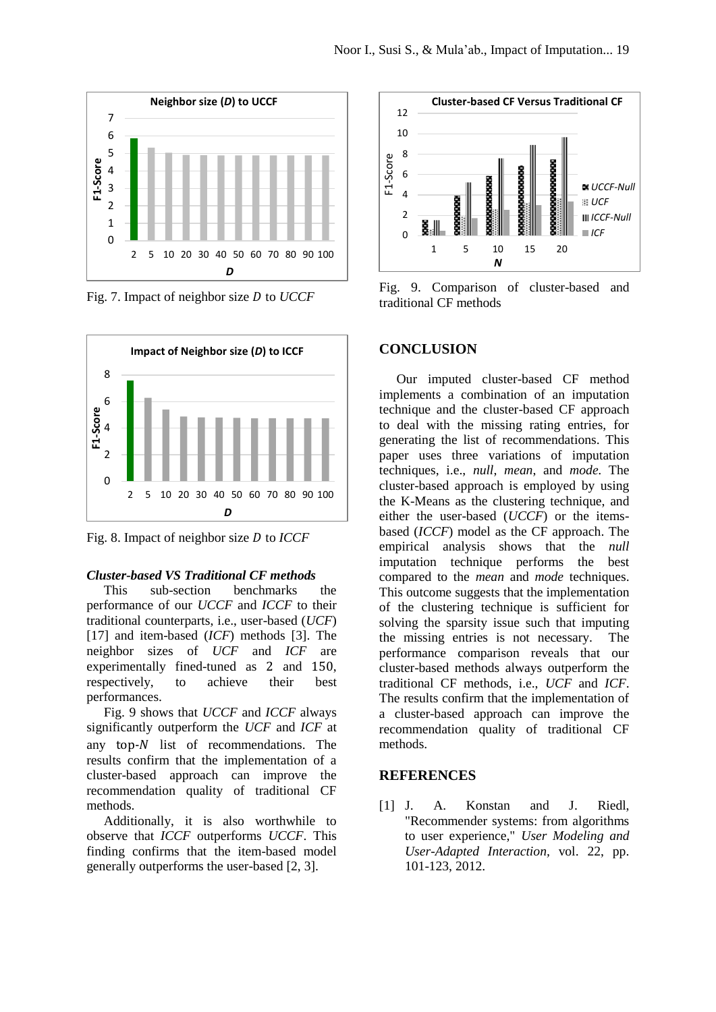

<span id="page-6-0"></span>Fig. 7. Impact of neighbor size D to *UCCF* 



<span id="page-6-1"></span>Fig. 8. Impact of neighbor size D to *ICCF* 

#### *Cluster-based VS Traditional CF methods*

This sub-section benchmarks the performance of our *UCCF* and *ICCF* to their traditional counterparts, i.e., user-based (*UCF*) [17] and item-based (*ICF*) methods [\[3\]](#page-7-1). The neighbor sizes of *UCF* and *ICF* are experimentally fined-tuned as 2 and 150. respectively, to achieve their best performances.

[Fig. 9](#page-6-2) shows that *UCCF* and *ICCF* always significantly outperform the *UCF* and *ICF* at any  $top-N$  list of recommendations. The results confirm that the implementation of a cluster-based approach can improve the recommendation quality of traditional CF methods.

Additionally, it is also worthwhile to observe that *ICCF* outperforms *UCCF*. This finding confirms that the item-based model generally outperforms the user-based [\[2,](#page-7-0) [3\]](#page-7-1).



<span id="page-6-2"></span>Fig. 9. Comparison of cluster-based and traditional CF methods

## **CONCLUSION**

Our imputed cluster-based CF method implements a combination of an imputation technique and the cluster-based CF approach to deal with the missing rating entries, for generating the list of recommendations. This paper uses three variations of imputation techniques, i.e., *null*, *mean*, and *mode.* The cluster-based approach is employed by using the K-Means as the clustering technique, and either the user-based (*UCCF*) or the itemsbased (*ICCF*) model as the CF approach. The empirical analysis shows that the *null* imputation technique performs the best compared to the *mean* and *mode* techniques. This outcome suggests that the implementation of the clustering technique is sufficient for solving the sparsity issue such that imputing the missing entries is not necessary. The performance comparison reveals that our cluster-based methods always outperform the traditional CF methods, i.e., *UCF* and *ICF*. The results confirm that the implementation of a cluster-based approach can improve the recommendation quality of traditional CF methods.

#### **REFERENCES**

[1] J. A. Konstan and J. Riedl, "Recommender systems: from algorithms to user experience," *User Modeling and User-Adapted Interaction,* vol. 22, pp. 101-123, 2012.